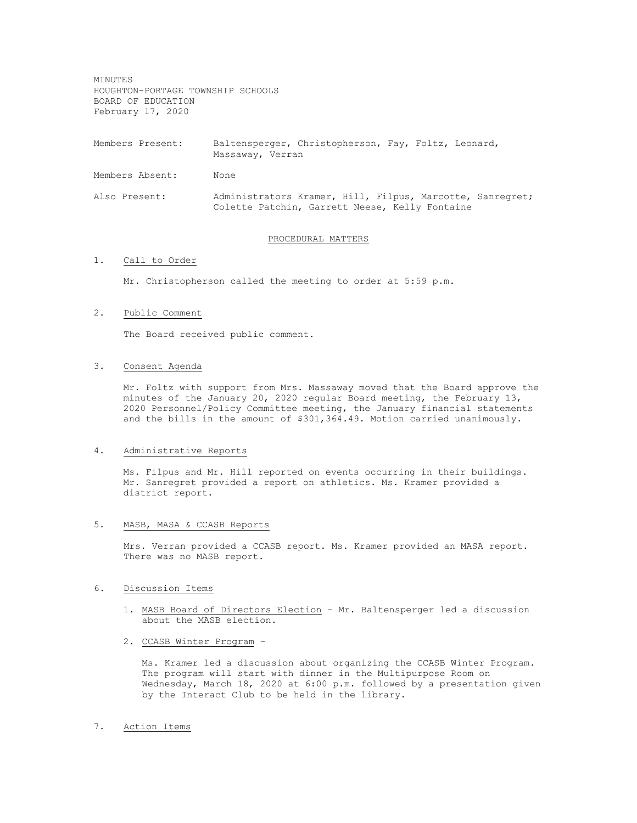MINUTES HOUGHTON-PORTAGE TOWNSHIP SCHOOLS BOARD OF EDUCATION February 17, 2020

Members Present: Baltensperger, Christopherson, Fay, Foltz, Leonard, Massaway, Verran

Members Absent: None

Also Present: Administrators Kramer, Hill, Filpus, Marcotte, Sanregret; Colette Patchin, Garrett Neese, Kelly Fontaine

#### PROCEDURAL MATTERS

#### 1. Call to Order

Mr. Christopherson called the meeting to order at 5:59 p.m.

### 2. Public Comment

The Board received public comment.

## 3. Consent Agenda

Mr. Foltz with support from Mrs. Massaway moved that the Board approve the minutes of the January 20, 2020 regular Board meeting, the February 13, 2020 Personnel/Policy Committee meeting, the January financial statements and the bills in the amount of \$301,364.49. Motion carried unanimously.

## 4. Administrative Reports

Ms. Filpus and Mr. Hill reported on events occurring in their buildings. Mr. Sanregret provided a report on athletics. Ms. Kramer provided a district report.

## 5. MASB, MASA & CCASB Reports

Mrs. Verran provided a CCASB report. Ms. Kramer provided an MASA report. There was no MASB report.

#### 6. Discussion Items

- 1. MASB Board of Directors Election Mr. Baltensperger led a discussion about the MASB election.
- 2. CCASB Winter Program –

Ms. Kramer led a discussion about organizing the CCASB Winter Program. The program will start with dinner in the Multipurpose Room on Wednesday, March 18, 2020 at 6:00 p.m. followed by a presentation given by the Interact Club to be held in the library.

### 7. Action Items